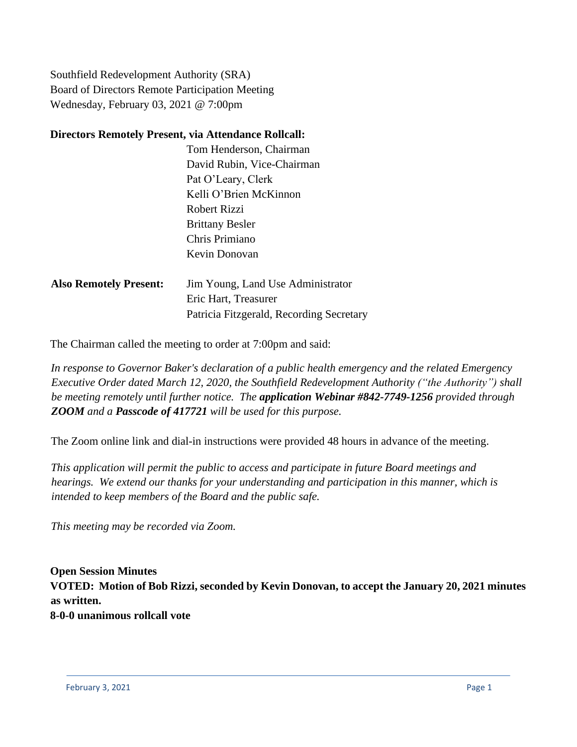Southfield Redevelopment Authority (SRA) Board of Directors Remote Participation Meeting Wednesday, February 03, 2021 @ 7:00pm

### **Directors Remotely Present, via Attendance Rollcall:**

|          | Tom Henderson, Chairman        |
|----------|--------------------------------|
|          | David Rubin, Vice-Chairman     |
|          | Pat O'Leary, Clerk             |
|          | Kelli O'Brien McKinnon         |
|          | Robert Rizzi                   |
|          | <b>Brittany Besler</b>         |
|          | Chris Primiano                 |
|          | Kevin Donovan                  |
|          |                                |
| Present: | Jim Young, Land Use Administra |

**Also Remotely Present:** Jim Young, Land Use Administrator Eric Hart, Treasurer Patricia Fitzgerald, Recording Secretary

The Chairman called the meeting to order at 7:00pm and said:

*In response to Governor Baker's declaration of a public health emergency and the related Emergency Executive Order dated March 12, 2020, the Southfield Redevelopment Authority ("the Authority") shall be meeting remotely until further notice. The application Webinar #842-7749-1256 provided through ZOOM and a Passcode of 417721 will be used for this purpose.*

The Zoom online link and dial-in instructions were provided 48 hours in advance of the meeting.

*This application will permit the public to access and participate in future Board meetings and hearings. We extend our thanks for your understanding and participation in this manner, which is intended to keep members of the Board and the public safe.*

*This meeting may be recorded via Zoom.*

**Open Session Minutes VOTED: Motion of Bob Rizzi, seconded by Kevin Donovan, to accept the January 20, 2021 minutes as written. 8-0-0 unanimous rollcall vote**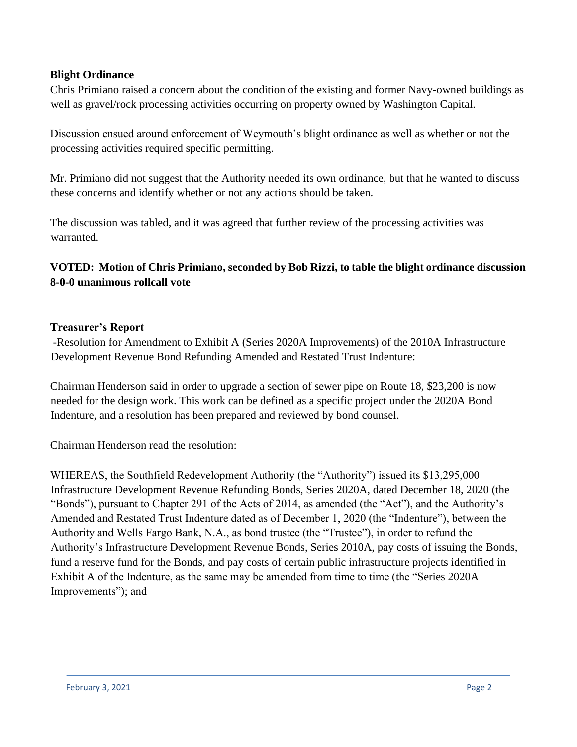## **Blight Ordinance**

Chris Primiano raised a concern about the condition of the existing and former Navy-owned buildings as well as gravel/rock processing activities occurring on property owned by Washington Capital.

Discussion ensued around enforcement of Weymouth's blight ordinance as well as whether or not the processing activities required specific permitting.

Mr. Primiano did not suggest that the Authority needed its own ordinance, but that he wanted to discuss these concerns and identify whether or not any actions should be taken.

The discussion was tabled, and it was agreed that further review of the processing activities was warranted.

## **VOTED: Motion of Chris Primiano, seconded by Bob Rizzi, to table the blight ordinance discussion 8-0-0 unanimous rollcall vote**

### **Treasurer's Report**

-Resolution for Amendment to Exhibit A (Series 2020A Improvements) of the 2010A Infrastructure Development Revenue Bond Refunding Amended and Restated Trust Indenture:

Chairman Henderson said in order to upgrade a section of sewer pipe on Route 18, \$23,200 is now needed for the design work. This work can be defined as a specific project under the 2020A Bond Indenture, and a resolution has been prepared and reviewed by bond counsel.

Chairman Henderson read the resolution:

WHEREAS, the Southfield Redevelopment Authority (the "Authority") issued its \$13,295,000 Infrastructure Development Revenue Refunding Bonds, Series 2020A, dated December 18, 2020 (the "Bonds"), pursuant to Chapter 291 of the Acts of 2014, as amended (the "Act"), and the Authority's Amended and Restated Trust Indenture dated as of December 1, 2020 (the "Indenture"), between the Authority and Wells Fargo Bank, N.A., as bond trustee (the "Trustee"), in order to refund the Authority's Infrastructure Development Revenue Bonds, Series 2010A, pay costs of issuing the Bonds, fund a reserve fund for the Bonds, and pay costs of certain public infrastructure projects identified in Exhibit A of the Indenture, as the same may be amended from time to time (the "Series 2020A Improvements"); and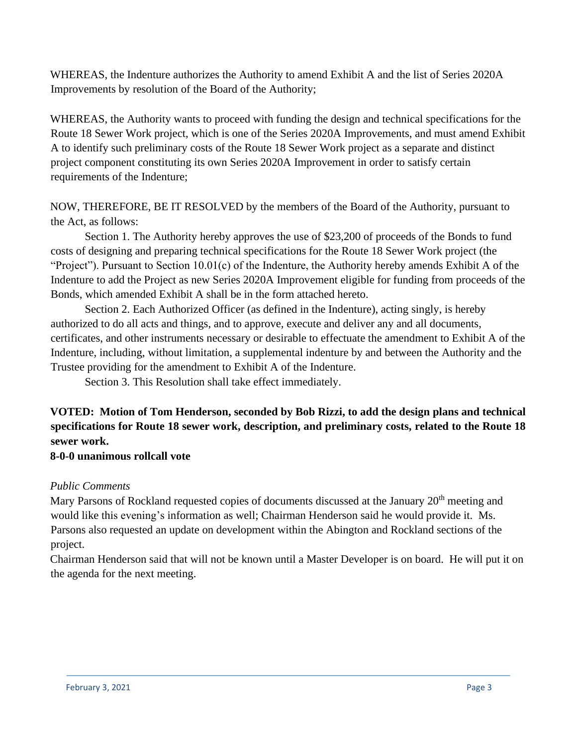WHEREAS, the Indenture authorizes the Authority to amend Exhibit A and the list of Series 2020A Improvements by resolution of the Board of the Authority;

WHEREAS, the Authority wants to proceed with funding the design and technical specifications for the Route 18 Sewer Work project, which is one of the Series 2020A Improvements, and must amend Exhibit A to identify such preliminary costs of the Route 18 Sewer Work project as a separate and distinct project component constituting its own Series 2020A Improvement in order to satisfy certain requirements of the Indenture;

NOW, THEREFORE, BE IT RESOLVED by the members of the Board of the Authority, pursuant to the Act, as follows:

Section 1. The Authority hereby approves the use of \$23,200 of proceeds of the Bonds to fund costs of designing and preparing technical specifications for the Route 18 Sewer Work project (the "Project"). Pursuant to Section 10.01(c) of the Indenture, the Authority hereby amends Exhibit A of the Indenture to add the Project as new Series 2020A Improvement eligible for funding from proceeds of the Bonds, which amended Exhibit A shall be in the form attached hereto.

Section 2. Each Authorized Officer (as defined in the Indenture), acting singly, is hereby authorized to do all acts and things, and to approve, execute and deliver any and all documents, certificates, and other instruments necessary or desirable to effectuate the amendment to Exhibit A of the Indenture, including, without limitation, a supplemental indenture by and between the Authority and the Trustee providing for the amendment to Exhibit A of the Indenture.

Section 3. This Resolution shall take effect immediately.

# **VOTED: Motion of Tom Henderson, seconded by Bob Rizzi, to add the design plans and technical specifications for Route 18 sewer work, description, and preliminary costs, related to the Route 18 sewer work.**

## **8-0-0 unanimous rollcall vote**

## *Public Comments*

Mary Parsons of Rockland requested copies of documents discussed at the January 20<sup>th</sup> meeting and would like this evening's information as well; Chairman Henderson said he would provide it. Ms. Parsons also requested an update on development within the Abington and Rockland sections of the project.

Chairman Henderson said that will not be known until a Master Developer is on board. He will put it on the agenda for the next meeting.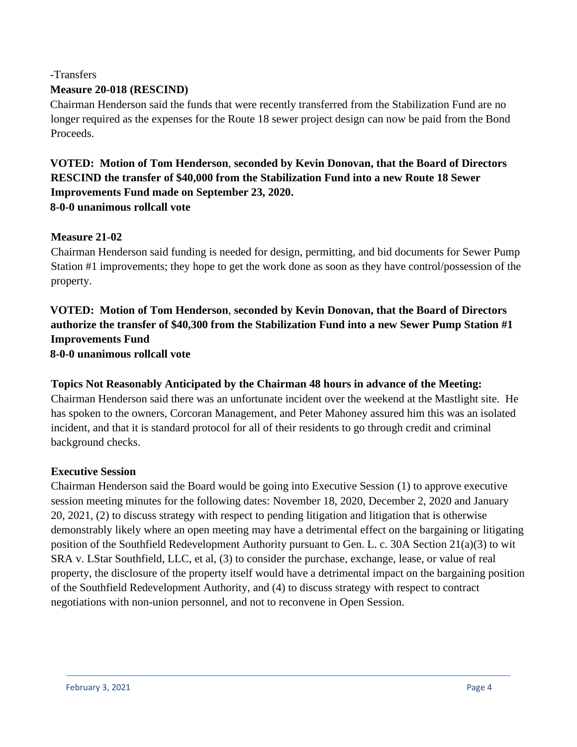### -Transfers

## **Measure 20-018 (RESCIND)**

Chairman Henderson said the funds that were recently transferred from the Stabilization Fund are no longer required as the expenses for the Route 18 sewer project design can now be paid from the Bond Proceeds.

# **VOTED: Motion of Tom Henderson**, **seconded by Kevin Donovan, that the Board of Directors RESCIND the transfer of \$40,000 from the Stabilization Fund into a new Route 18 Sewer Improvements Fund made on September 23, 2020. 8-0-0 unanimous rollcall vote**

#### **Measure 21-02**

Chairman Henderson said funding is needed for design, permitting, and bid documents for Sewer Pump Station #1 improvements; they hope to get the work done as soon as they have control/possession of the property.

# **VOTED: Motion of Tom Henderson**, **seconded by Kevin Donovan, that the Board of Directors authorize the transfer of \$40,300 from the Stabilization Fund into a new Sewer Pump Station #1 Improvements Fund**

## **8-0-0 unanimous rollcall vote**

## **Topics Not Reasonably Anticipated by the Chairman 48 hours in advance of the Meeting:**

Chairman Henderson said there was an unfortunate incident over the weekend at the Mastlight site. He has spoken to the owners, Corcoran Management, and Peter Mahoney assured him this was an isolated incident, and that it is standard protocol for all of their residents to go through credit and criminal background checks.

#### **Executive Session**

Chairman Henderson said the Board would be going into Executive Session (1) to approve executive session meeting minutes for the following dates: November 18, 2020, December 2, 2020 and January 20, 2021, (2) to discuss strategy with respect to pending litigation and litigation that is otherwise demonstrably likely where an open meeting may have a detrimental effect on the bargaining or litigating position of the Southfield Redevelopment Authority pursuant to Gen. L. c. 30A Section 21(a)(3) to wit SRA v. LStar Southfield, LLC, et al, (3) to consider the purchase, exchange, lease, or value of real property, the disclosure of the property itself would have a detrimental impact on the bargaining position of the Southfield Redevelopment Authority, and (4) to discuss strategy with respect to contract negotiations with non-union personnel, and not to reconvene in Open Session.